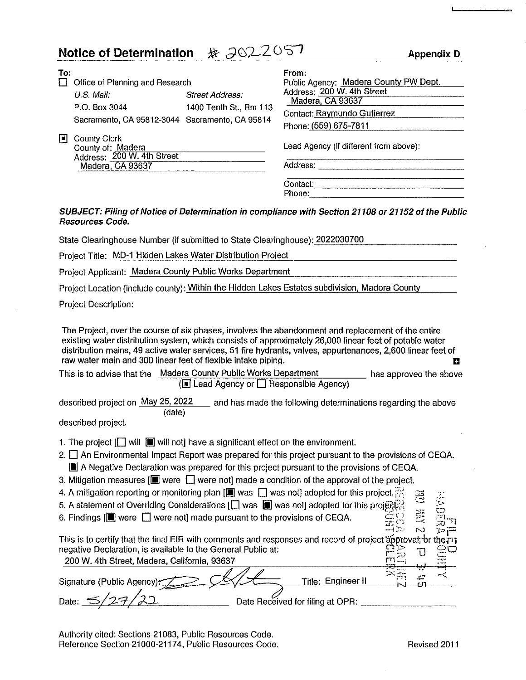| <b>Notice of Determination</b>                                                                                                                                                                                                                                                                                                                                                                                                                                                      | # 2022057<br><b>Appendix D</b>                                                                                                                                                                     |
|-------------------------------------------------------------------------------------------------------------------------------------------------------------------------------------------------------------------------------------------------------------------------------------------------------------------------------------------------------------------------------------------------------------------------------------------------------------------------------------|----------------------------------------------------------------------------------------------------------------------------------------------------------------------------------------------------|
| To:<br>$\Box$ Office of Planning and Research<br>U.S. Mail.<br><b>Street Address:</b><br>P.O. Box 3044<br>1400 Tenth St., Rm 113<br>Sacramento, CA 95812-3044 Sacramento, CA 95814<br>□ County Clerk<br>County of: Madera<br>Address: 200 W. 4th Street<br>Madera, CA 93637                                                                                                                                                                                                         | From:<br>Public Agency: Madera County PW Dept.<br>Address: 200 W. 4th Street<br>Madera, CA 93637<br>Contact: Raymundo Gutierrez<br>Phone: (559) 675-7811<br>Lead Agency (if different from above): |
| Resources Code.                                                                                                                                                                                                                                                                                                                                                                                                                                                                     | SUBJECT: Filing of Notice of Determination in compliance with Section 21108 or 21152 of the Public                                                                                                 |
| State Clearinghouse Number (if submitted to State Clearinghouse): 2022030700                                                                                                                                                                                                                                                                                                                                                                                                        |                                                                                                                                                                                                    |
| Project Title: MD-1 Hidden Lakes Water Distribution Project                                                                                                                                                                                                                                                                                                                                                                                                                         |                                                                                                                                                                                                    |
| Project Applicant: Madera County Public Works Department                                                                                                                                                                                                                                                                                                                                                                                                                            |                                                                                                                                                                                                    |
| Project Location (include county): Within the Hidden Lakes Estates subdivision, Madera County                                                                                                                                                                                                                                                                                                                                                                                       |                                                                                                                                                                                                    |
| <b>Project Description:</b>                                                                                                                                                                                                                                                                                                                                                                                                                                                         |                                                                                                                                                                                                    |
| The Project, over the course of six phases, involves the abandonment and replacement of the entire<br>existing water distribution system, which consists of approximately 26,000 linear feet of potable water<br>raw water main and 300 linear feet of flexible intake piping.<br>This is to advise that the Madera County Public Works Department                                                                                                                                  | distribution mains, 49 active water services, 51 fire hydrants, valves, appurtenances, 2,600 linear feet of<br>в<br>has approved the above<br>(□ Lead Agency or □ Responsible Agency)              |
| described project on May 25, 2022<br>(date)<br>described project.                                                                                                                                                                                                                                                                                                                                                                                                                   | and has made the following determinations regarding the above                                                                                                                                      |
| 1. The project $\left[\Box\right]$ will $\Box\hspace{0.15cm}\Box$ will not] have a significant effect on the environment.<br>A Negative Declaration was prepared for this project pursuant to the provisions of CEQA.<br>3. Mitigation measures $[\blacksquare]$ were $\blacksquare$ were not] made a condition of the approval of the project.<br>4. A mitigation reporting or monitoring plan [ $\blacksquare$ was $\Box$ was not] adopted for this project. $\mathbb{R}^3 \cong$ | 2. $\Box$ An Environmental Impact Report was prepared for this project pursuant to the provisions of CEQA.<br>TZ.                                                                                  |

- 5. A statement of Overriding Considerations  $\Box$  was  $\Box$  was not] adopted for this projected for this projected 6. Findings  $\Box$  were  $\Box$  were not] made pursuant to the provisions of CEQA.
- 6. Findings  $[$  were  $\Box$  were not] made pursuant to the provisions of CEQA.  $\Xi \cong \Xi$

|                                                                                                              | التلائي المسد |             |
|--------------------------------------------------------------------------------------------------------------|---------------|-------------|
| This is to certify that the final EIR with comments and responses and record of project approval, or the 171 |               |             |
| negative Declaration, is available to the General Public at:                                                 |               | <u>කූ</u> ට |
| 200 W. 4th Street, Madera, California, 93637                                                                 |               |             |
|                                                                                                              |               | ---         |
| Title: Engineer II<br>Signature (Public Agency):                                                             |               |             |
|                                                                                                              |               |             |

Date: <u>S/27/22</u> Date Received for filing at OPR:

Authority cited: Sections 21083, Public Resources Code. Reference Section 21000-21174, Public Resources Code. Revised 2011